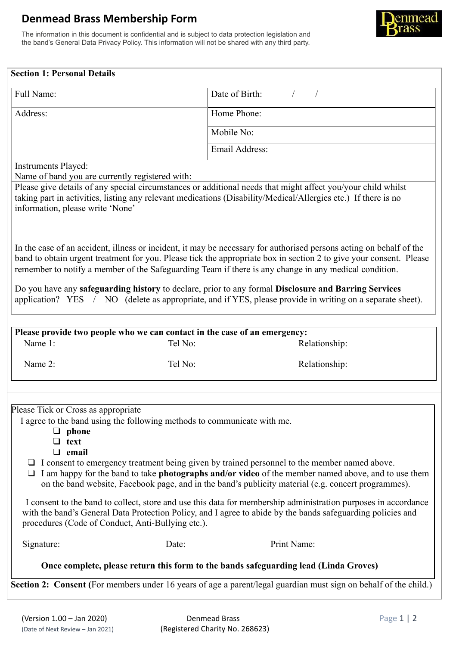## **Denmead Brass Membership Form**

The information in this document is confidential and is subject to data protection legislation and the band's General Data Privacy Policy. This information will not be shared with any third party.



| <b>Section 1: Personal Details</b>                                                                                                                                                                                                                                                                                                                                                                                                                                                                                                                                      |                                                                                      |                                                                                                                                                                                                                                                                                                                   |
|-------------------------------------------------------------------------------------------------------------------------------------------------------------------------------------------------------------------------------------------------------------------------------------------------------------------------------------------------------------------------------------------------------------------------------------------------------------------------------------------------------------------------------------------------------------------------|--------------------------------------------------------------------------------------|-------------------------------------------------------------------------------------------------------------------------------------------------------------------------------------------------------------------------------------------------------------------------------------------------------------------|
| Full Name:                                                                                                                                                                                                                                                                                                                                                                                                                                                                                                                                                              |                                                                                      | Date of Birth:                                                                                                                                                                                                                                                                                                    |
| Address:                                                                                                                                                                                                                                                                                                                                                                                                                                                                                                                                                                |                                                                                      | Home Phone:                                                                                                                                                                                                                                                                                                       |
|                                                                                                                                                                                                                                                                                                                                                                                                                                                                                                                                                                         |                                                                                      | Mobile No:                                                                                                                                                                                                                                                                                                        |
|                                                                                                                                                                                                                                                                                                                                                                                                                                                                                                                                                                         |                                                                                      | <b>Email Address:</b>                                                                                                                                                                                                                                                                                             |
| <b>Instruments Played:</b><br>Name of band you are currently registered with:                                                                                                                                                                                                                                                                                                                                                                                                                                                                                           |                                                                                      |                                                                                                                                                                                                                                                                                                                   |
| information, please write 'None'                                                                                                                                                                                                                                                                                                                                                                                                                                                                                                                                        |                                                                                      | Please give details of any special circumstances or additional needs that might affect you/your child whilst<br>taking part in activities, listing any relevant medications (Disability/Medical/Allergies etc.) If there is no                                                                                    |
| In the case of an accident, illness or incident, it may be necessary for authorised persons acting on behalf of the<br>band to obtain urgent treatment for you. Please tick the appropriate box in section 2 to give your consent. Please<br>remember to notify a member of the Safeguarding Team if there is any change in any medical condition.<br>Do you have any safeguarding history to declare, prior to any formal Disclosure and Barring Services<br>application? YES / NO (delete as appropriate, and if YES, please provide in writing on a separate sheet). |                                                                                      |                                                                                                                                                                                                                                                                                                                   |
|                                                                                                                                                                                                                                                                                                                                                                                                                                                                                                                                                                         |                                                                                      |                                                                                                                                                                                                                                                                                                                   |
| Name 1:                                                                                                                                                                                                                                                                                                                                                                                                                                                                                                                                                                 | Please provide two people who we can contact in the case of an emergency:<br>Tel No: | Relationship:                                                                                                                                                                                                                                                                                                     |
| Name 2:                                                                                                                                                                                                                                                                                                                                                                                                                                                                                                                                                                 | Tel No:                                                                              | Relationship:                                                                                                                                                                                                                                                                                                     |
|                                                                                                                                                                                                                                                                                                                                                                                                                                                                                                                                                                         |                                                                                      |                                                                                                                                                                                                                                                                                                                   |
| Please Tick or Cross as appropriate<br>$\Box$ phone<br>$\Box$ text<br>$\Box$ email                                                                                                                                                                                                                                                                                                                                                                                                                                                                                      | I agree to the band using the following methods to communicate with me.              | $\Box$ I consent to emergency treatment being given by trained personnel to the member named above.<br>I am happy for the band to take photographs and/or video of the member named above, and to use them<br>on the band website, Facebook page, and in the band's publicity material (e.g. concert programmes). |
| procedures (Code of Conduct, Anti-Bullying etc.).                                                                                                                                                                                                                                                                                                                                                                                                                                                                                                                       |                                                                                      | I consent to the band to collect, store and use this data for membership administration purposes in accordance<br>with the band's General Data Protection Policy, and I agree to abide by the bands safeguarding policies and                                                                                     |
| Signature:                                                                                                                                                                                                                                                                                                                                                                                                                                                                                                                                                              | Date:                                                                                | Print Name:                                                                                                                                                                                                                                                                                                       |
| Once complete, please return this form to the bands safeguarding lead (Linda Groves)                                                                                                                                                                                                                                                                                                                                                                                                                                                                                    |                                                                                      |                                                                                                                                                                                                                                                                                                                   |
| Section 2: Consent (For members under 16 years of age a parent/legal guardian must sign on behalf of the child.)                                                                                                                                                                                                                                                                                                                                                                                                                                                        |                                                                                      |                                                                                                                                                                                                                                                                                                                   |